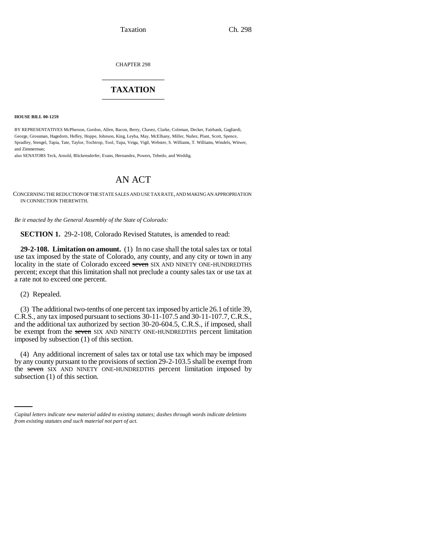Taxation Ch. 298

CHAPTER 298 \_\_\_\_\_\_\_\_\_\_\_\_\_\_\_

## **TAXATION** \_\_\_\_\_\_\_\_\_\_\_\_\_\_\_

**HOUSE BILL 00-1259** 

BY REPRESENTATIVES McPherson, Gordon, Allen, Bacon, Berry, Chavez, Clarke, Coleman, Decker, Fairbank, Gagliardi, George, Grossman, Hagedorn, Hefley, Hoppe, Johnson, King, Leyba, May, McElhany, Miller, Nuñez, Plant, Scott, Spence, Spradley, Stengel, Tapia, Tate, Taylor, Tochtrop, Tool, Tupa, Veiga, Vigil, Webster, S. Williams, T. Williams, Windels, Witwer, and Zimmerman;

also SENATORS Teck, Arnold, Blickensderfer, Evans, Hernandez, Powers, Tebedo, and Weddig.

# AN ACT

CONCERNING THE REDUCTION OF THE STATE SALES AND USE TAX RATE, AND MAKING AN APPROPRIATION IN CONNECTION THEREWITH.

*Be it enacted by the General Assembly of the State of Colorado:*

**SECTION 1.** 29-2-108, Colorado Revised Statutes, is amended to read:

**29-2-108. Limitation on amount.** (1) In no case shall the total sales tax or total use tax imposed by the state of Colorado, any county, and any city or town in any locality in the state of Colorado exceed seven SIX AND NINETY ONE-HUNDREDTHS percent; except that this limitation shall not preclude a county sales tax or use tax at a rate not to exceed one percent.

(2) Repealed.

(3) The additional two-tenths of one percent tax imposed by article 26.1 of title 39, C.R.S., any tax imposed pursuant to sections 30-11-107.5 and 30-11-107.7, C.R.S., and the additional tax authorized by section 30-20-604.5, C.R.S., if imposed, shall be exempt from the seven SIX AND NINETY ONE-HUNDREDTHS percent limitation imposed by subsection (1) of this section.

the seven SIX AND NINETY ONE-HUNDREDTHS percent limitation imposed by (4) Any additional increment of sales tax or total use tax which may be imposed by any county pursuant to the provisions of section 29-2-103.5 shall be exempt from subsection (1) of this section.

*Capital letters indicate new material added to existing statutes; dashes through words indicate deletions from existing statutes and such material not part of act.*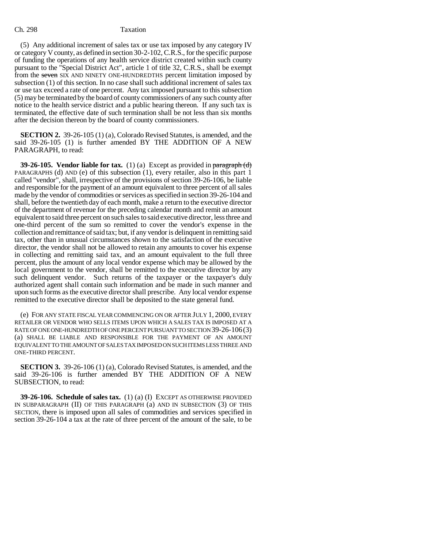### Ch. 298 Taxation

(5) Any additional increment of sales tax or use tax imposed by any category IV or category V county, as defined in section 30-2-102, C.R.S., for the specific purpose of funding the operations of any health service district created within such county pursuant to the "Special District Act", article 1 of title 32, C.R.S., shall be exempt from the seven SIX AND NINETY ONE-HUNDREDTHS percent limitation imposed by subsection (1) of this section. In no case shall such additional increment of sales tax or use tax exceed a rate of one percent. Any tax imposed pursuant to this subsection (5) may be terminated by the board of county commissioners of any such county after notice to the health service district and a public hearing thereon. If any such tax is terminated, the effective date of such termination shall be not less than six months after the decision thereon by the board of county commissioners.

**SECTION 2.** 39-26-105 (1) (a), Colorado Revised Statutes, is amended, and the said 39-26-105 (1) is further amended BY THE ADDITION OF A NEW PARAGRAPH, to read:

**39-26-105. Vendor liable for tax.** (1) (a) Except as provided in paragraph (d) PARAGRAPHS (d) AND (e) of this subsection (1), every retailer, also in this part 1 called "vendor", shall, irrespective of the provisions of section 39-26-106, be liable and responsible for the payment of an amount equivalent to three percent of all sales made by the vendor of commodities or services as specified in section 39-26-104 and shall, before the twentieth day of each month, make a return to the executive director of the department of revenue for the preceding calendar month and remit an amount equivalent to said three percent on such sales to said executive director, less three and one-third percent of the sum so remitted to cover the vendor's expense in the collection and remittance of said tax; but, if any vendor is delinquent in remitting said tax, other than in unusual circumstances shown to the satisfaction of the executive director, the vendor shall not be allowed to retain any amounts to cover his expense in collecting and remitting said tax, and an amount equivalent to the full three percent, plus the amount of any local vendor expense which may be allowed by the local government to the vendor, shall be remitted to the executive director by any such delinquent vendor. Such returns of the taxpayer or the taxpayer's duly authorized agent shall contain such information and be made in such manner and upon such forms as the executive director shall prescribe. Any local vendor expense remitted to the executive director shall be deposited to the state general fund.

(e) FOR ANY STATE FISCAL YEAR COMMENCING ON OR AFTER JULY 1, 2000, EVERY RETAILER OR VENDOR WHO SELLS ITEMS UPON WHICH A SALES TAX IS IMPOSED AT A RATE OF ONE ONE-HUNDREDTH OF ONE PERCENT PURSUANT TO SECTION 39-26-106(3) (a) SHALL BE LIABLE AND RESPONSIBLE FOR THE PAYMENT OF AN AMOUNT EQUIVALENT TO THE AMOUNT OF SALES TAX IMPOSED ON SUCH ITEMS LESS THREE AND ONE-THIRD PERCENT.

**SECTION 3.** 39-26-106 (1) (a), Colorado Revised Statutes, is amended, and the said 39-26-106 is further amended BY THE ADDITION OF A NEW SUBSECTION, to read:

**39-26-106. Schedule of sales tax.** (1) (a) (I) EXCEPT AS OTHERWISE PROVIDED IN SUBPARAGRAPH (II) OF THIS PARAGRAPH (a) AND IN SUBSECTION (3) OF THIS SECTION, there is imposed upon all sales of commodities and services specified in section 39-26-104 a tax at the rate of three percent of the amount of the sale, to be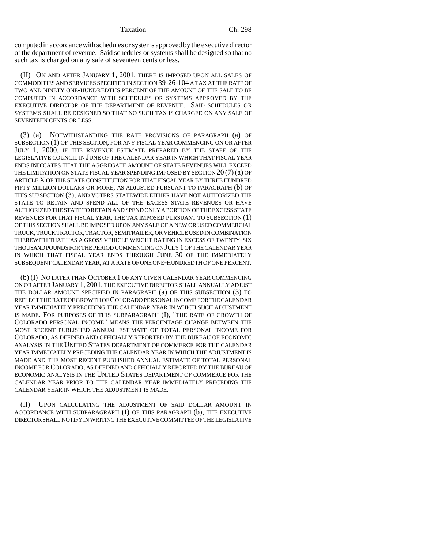computed in accordance with schedules or systems approved by the executive director of the department of revenue. Said schedules or systems shall be designed so that no such tax is charged on any sale of seventeen cents or less.

(II) ON AND AFTER JANUARY 1, 2001, THERE IS IMPOSED UPON ALL SALES OF COMMODITIES AND SERVICES SPECIFIED IN SECTION 39-26-104 A TAX AT THE RATE OF TWO AND NINETY ONE-HUNDREDTHS PERCENT OF THE AMOUNT OF THE SALE TO BE COMPUTED IN ACCORDANCE WITH SCHEDULES OR SYSTEMS APPROVED BY THE EXECUTIVE DIRECTOR OF THE DEPARTMENT OF REVENUE. SAID SCHEDULES OR SYSTEMS SHALL BE DESIGNED SO THAT NO SUCH TAX IS CHARGED ON ANY SALE OF SEVENTEEN CENTS OR LESS.

(3) (a) NOTWITHSTANDING THE RATE PROVISIONS OF PARAGRAPH (a) OF SUBSECTION (1) OF THIS SECTION, FOR ANY FISCAL YEAR COMMENCING ON OR AFTER JULY 1, 2000, IF THE REVENUE ESTIMATE PREPARED BY THE STAFF OF THE LEGISLATIVE COUNCIL IN JUNE OF THE CALENDAR YEAR IN WHICH THAT FISCAL YEAR ENDS INDICATES THAT THE AGGREGATE AMOUNT OF STATE REVENUES WILL EXCEED THE LIMITATION ON STATE FISCAL YEAR SPENDING IMPOSED BY SECTION 20 (7) (a) OF ARTICLE X OF THE STATE CONSTITUTION FOR THAT FISCAL YEAR BY THREE HUNDRED FIFTY MILLION DOLLARS OR MORE, AS ADJUSTED PURSUANT TO PARAGRAPH (b) OF THIS SUBSECTION (3), AND VOTERS STATEWIDE EITHER HAVE NOT AUTHORIZED THE STATE TO RETAIN AND SPEND ALL OF THE EXCESS STATE REVENUES OR HAVE AUTHORIZED THE STATE TO RETAIN AND SPEND ONLY A PORTION OF THE EXCESS STATE REVENUES FOR THAT FISCAL YEAR, THE TAX IMPOSED PURSUANT TO SUBSECTION (1) OF THIS SECTION SHALL BE IMPOSED UPON ANY SALE OF A NEW OR USED COMMERCIAL TRUCK, TRUCK TRACTOR, TRACTOR, SEMITRAILER, OR VEHICLE USED IN COMBINATION THEREWITH THAT HAS A GROSS VEHICLE WEIGHT RATING IN EXCESS OF TWENTY-SIX THOUSAND POUNDS FOR THE PERIOD COMMENCING ON JULY 1 OF THE CALENDAR YEAR IN WHICH THAT FISCAL YEAR ENDS THROUGH JUNE 30 OF THE IMMEDIATELY SUBSEQUENT CALENDAR YEAR, AT A RATE OF ONE ONE-HUNDREDTH OF ONE PERCENT.

(b) (I) NO LATER THAN OCTOBER 1 OF ANY GIVEN CALENDAR YEAR COMMENCING ON OR AFTER JANUARY 1, 2001, THE EXECUTIVE DIRECTOR SHALL ANNUALLY ADJUST THE DOLLAR AMOUNT SPECIFIED IN PARAGRAPH (a) OF THIS SUBSECTION (3) TO REFLECT THE RATE OF GROWTH OF COLORADO PERSONAL INCOME FOR THE CALENDAR YEAR IMMEDIATELY PRECEDING THE CALENDAR YEAR IN WHICH SUCH ADJUSTMENT IS MADE. FOR PURPOSES OF THIS SUBPARAGRAPH (I), "THE RATE OF GROWTH OF COLORADO PERSONAL INCOME" MEANS THE PERCENTAGE CHANGE BETWEEN THE MOST RECENT PUBLISHED ANNUAL ESTIMATE OF TOTAL PERSONAL INCOME FOR COLORADO, AS DEFINED AND OFFICIALLY REPORTED BY THE BUREAU OF ECONOMIC ANALYSIS IN THE UNITED STATES DEPARTMENT OF COMMERCE FOR THE CALENDAR YEAR IMMEDIATELY PRECEDING THE CALENDAR YEAR IN WHICH THE ADJUSTMENT IS MADE AND THE MOST RECENT PUBLISHED ANNUAL ESTIMATE OF TOTAL PERSONAL INCOME FOR COLORADO, AS DEFINED AND OFFICIALLY REPORTED BY THE BUREAU OF ECONOMIC ANALYSIS IN THE UNITED STATES DEPARTMENT OF COMMERCE FOR THE CALENDAR YEAR PRIOR TO THE CALENDAR YEAR IMMEDIATELY PRECEDING THE CALENDAR YEAR IN WHICH THE ADJUSTMENT IS MADE.

(II) UPON CALCULATING THE ADJUSTMENT OF SAID DOLLAR AMOUNT IN ACCORDANCE WITH SUBPARAGRAPH (I) OF THIS PARAGRAPH (b), THE EXECUTIVE DIRECTOR SHALL NOTIFY IN WRITING THE EXECUTIVE COMMITTEE OF THE LEGISLATIVE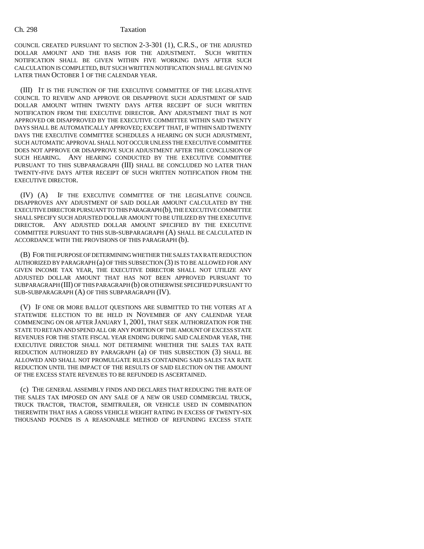COUNCIL CREATED PURSUANT TO SECTION 2-3-301 (1), C.R.S., OF THE ADJUSTED DOLLAR AMOUNT AND THE BASIS FOR THE ADJUSTMENT. SUCH WRITTEN NOTIFICATION SHALL BE GIVEN WITHIN FIVE WORKING DAYS AFTER SUCH CALCULATION IS COMPLETED, BUT SUCH WRITTEN NOTIFICATION SHALL BE GIVEN NO LATER THAN OCTOBER 1 OF THE CALENDAR YEAR.

(III) IT IS THE FUNCTION OF THE EXECUTIVE COMMITTEE OF THE LEGISLATIVE COUNCIL TO REVIEW AND APPROVE OR DISAPPROVE SUCH ADJUSTMENT OF SAID DOLLAR AMOUNT WITHIN TWENTY DAYS AFTER RECEIPT OF SUCH WRITTEN NOTIFICATION FROM THE EXECUTIVE DIRECTOR. ANY ADJUSTMENT THAT IS NOT APPROVED OR DISAPPROVED BY THE EXECUTIVE COMMITTEE WITHIN SAID TWENTY DAYS SHALL BE AUTOMATICALLY APPROVED; EXCEPT THAT, IF WITHIN SAID TWENTY DAYS THE EXECUTIVE COMMITTEE SCHEDULES A HEARING ON SUCH ADJUSTMENT, SUCH AUTOMATIC APPROVAL SHALL NOT OCCUR UNLESS THE EXECUTIVE COMMITTEE DOES NOT APPROVE OR DISAPPROVE SUCH ADJUSTMENT AFTER THE CONCLUSION OF SUCH HEARING. ANY HEARING CONDUCTED BY THE EXECUTIVE COMMITTEE PURSUANT TO THIS SUBPARAGRAPH (III) SHALL BE CONCLUDED NO LATER THAN TWENTY-FIVE DAYS AFTER RECEIPT OF SUCH WRITTEN NOTIFICATION FROM THE EXECUTIVE DIRECTOR.

(IV) (A) IF THE EXECUTIVE COMMITTEE OF THE LEGISLATIVE COUNCIL DISAPPROVES ANY ADJUSTMENT OF SAID DOLLAR AMOUNT CALCULATED BY THE EXECUTIVE DIRECTOR PURSUANT TO THIS PARAGRAPH (b), THE EXECUTIVE COMMITTEE SHALL SPECIFY SUCH ADJUSTED DOLLAR AMOUNT TO BE UTILIZED BY THE EXECUTIVE DIRECTOR. ANY ADJUSTED DOLLAR AMOUNT SPECIFIED BY THE EXECUTIVE COMMITTEE PURSUANT TO THIS SUB-SUBPARAGRAPH (A) SHALL BE CALCULATED IN ACCORDANCE WITH THE PROVISIONS OF THIS PARAGRAPH (b).

(B) FOR THE PURPOSE OF DETERMINING WHETHER THE SALES TAX RATE REDUCTION AUTHORIZED BY PARAGRAPH (a) OF THIS SUBSECTION (3) IS TO BE ALLOWED FOR ANY GIVEN INCOME TAX YEAR, THE EXECUTIVE DIRECTOR SHALL NOT UTILIZE ANY ADJUSTED DOLLAR AMOUNT THAT HAS NOT BEEN APPROVED PURSUANT TO SUBPARAGRAPH (III) OF THIS PARAGRAPH (b) OR OTHERWISE SPECIFIED PURSUANT TO SUB-SUBPARAGRAPH (A) OF THIS SUBPARAGRAPH (IV).

(V) IF ONE OR MORE BALLOT QUESTIONS ARE SUBMITTED TO THE VOTERS AT A STATEWIDE ELECTION TO BE HELD IN NOVEMBER OF ANY CALENDAR YEAR COMMENCING ON OR AFTER JANUARY 1, 2001, THAT SEEK AUTHORIZATION FOR THE STATE TO RETAIN AND SPEND ALL OR ANY PORTION OF THE AMOUNT OF EXCESS STATE REVENUES FOR THE STATE FISCAL YEAR ENDING DURING SAID CALENDAR YEAR, THE EXECUTIVE DIRECTOR SHALL NOT DETERMINE WHETHER THE SALES TAX RATE REDUCTION AUTHORIZED BY PARAGRAPH (a) OF THIS SUBSECTION (3) SHALL BE ALLOWED AND SHALL NOT PROMULGATE RULES CONTAINING SAID SALES TAX RATE REDUCTION UNTIL THE IMPACT OF THE RESULTS OF SAID ELECTION ON THE AMOUNT OF THE EXCESS STATE REVENUES TO BE REFUNDED IS ASCERTAINED.

(c) THE GENERAL ASSEMBLY FINDS AND DECLARES THAT REDUCING THE RATE OF THE SALES TAX IMPOSED ON ANY SALE OF A NEW OR USED COMMERCIAL TRUCK, TRUCK TRACTOR, TRACTOR, SEMITRAILER, OR VEHICLE USED IN COMBINATION THEREWITH THAT HAS A GROSS VEHICLE WEIGHT RATING IN EXCESS OF TWENTY-SIX THOUSAND POUNDS IS A REASONABLE METHOD OF REFUNDING EXCESS STATE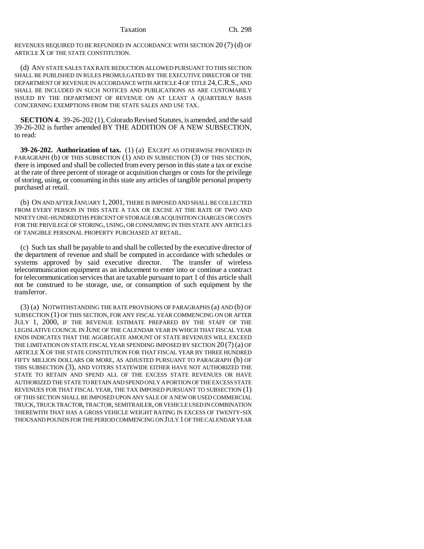Taxation Ch. 298

REVENUES REQUIRED TO BE REFUNDED IN ACCORDANCE WITH SECTION 20 (7) (d) OF ARTICLE X OF THE STATE CONSTITUTION.

(d) ANY STATE SALES TAX RATE REDUCTION ALLOWED PURSUANT TO THIS SECTION SHALL BE PUBLISHED IN RULES PROMULGATED BY THE EXECUTIVE DIRECTOR OF THE DEPARTMENT OF REVENUE IN ACCORDANCE WITH ARTICLE 4 OF TITLE 24,C.R.S., AND SHALL BE INCLUDED IN SUCH NOTICES AND PUBLICATIONS AS ARE CUSTOMARILY ISSUED BY THE DEPARTMENT OF REVENUE ON AT LEAST A QUARTERLY BASIS CONCERNING EXEMPTIONS FROM THE STATE SALES AND USE TAX.

**SECTION 4.** 39-26-202 (1), Colorado Revised Statutes, is amended, and the said 39-26-202 is further amended BY THE ADDITION OF A NEW SUBSECTION, to read:

**39-26-202. Authorization of tax.** (1) (a) EXCEPT AS OTHERWISE PROVIDED IN PARAGRAPH (b) OF THIS SUBSECTION (1) AND IN SUBSECTION (3) OF THIS SECTION, there is imposed and shall be collected from every person in this state a tax or excise at the rate of three percent of storage or acquisition charges or costs for the privilege of storing, using, or consuming in this state any articles of tangible personal property purchased at retail.

(b) ON AND AFTER JANUARY 1, 2001, THERE IS IMPOSED AND SHALL BE COLLECTED FROM EVERY PERSON IN THIS STATE A TAX OR EXCISE AT THE RATE OF TWO AND NINETY ONE-HUNDREDTHS PERCENT OF STORAGE OR ACQUISITION CHARGES OR COSTS FOR THE PRIVILEGE OF STORING, USING, OR CONSUMING IN THIS STATE ANY ARTICLES OF TANGIBLE PERSONAL PROPERTY PURCHASED AT RETAIL.

(c) Such tax shall be payable to and shall be collected by the executive director of the department of revenue and shall be computed in accordance with schedules or systems approved by said executive director. The transfer of wireless telecommunication equipment as an inducement to enter into or continue a contract for telecommunication services that are taxable pursuant to part 1 of this article shall not be construed to be storage, use, or consumption of such equipment by the transferror.

(3) (a) NOTWITHSTANDING THE RATE PROVISIONS OF PARAGRAPHS (a) AND (b) OF SUBSECTION (1) OF THIS SECTION, FOR ANY FISCAL YEAR COMMENCING ON OR AFTER JULY 1, 2000, IF THE REVENUE ESTIMATE PREPARED BY THE STAFF OF THE LEGISLATIVE COUNCIL IN JUNE OF THE CALENDAR YEAR IN WHICH THAT FISCAL YEAR ENDS INDICATES THAT THE AGGREGATE AMOUNT OF STATE REVENUES WILL EXCEED THE LIMITATION ON STATE FISCAL YEAR SPENDING IMPOSED BY SECTION 20 (7) (a) OF ARTICLE X OF THE STATE CONSTITUTION FOR THAT FISCAL YEAR BY THREE HUNDRED FIFTY MILLION DOLLARS OR MORE, AS ADJUSTED PURSUANT TO PARAGRAPH (b) OF THIS SUBSECTION (3), AND VOTERS STATEWIDE EITHER HAVE NOT AUTHORIZED THE STATE TO RETAIN AND SPEND ALL OF THE EXCESS STATE REVENUES OR HAVE AUTHORIZED THE STATE TO RETAIN AND SPEND ONLY A PORTION OF THE EXCESS STATE REVENUES FOR THAT FISCAL YEAR, THE TAX IMPOSED PURSUANT TO SUBSECTION (1) OF THIS SECTION SHALL BE IMPOSED UPON ANY SALE OF A NEW OR USED COMMERCIAL TRUCK, TRUCK TRACTOR, TRACTOR, SEMITRAILER, OR VEHICLE USED IN COMBINATION THEREWITH THAT HAS A GROSS VEHICLE WEIGHT RATING IN EXCESS OF TWENTY-SIX THOUSAND POUNDS FOR THE PERIOD COMMENCING ON JULY 1 OF THE CALENDAR YEAR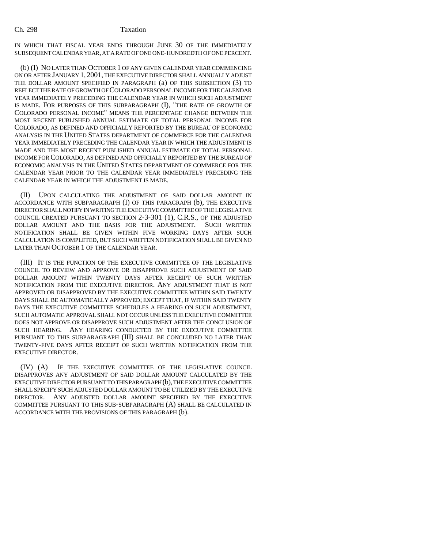### Ch. 298 Taxation

IN WHICH THAT FISCAL YEAR ENDS THROUGH JUNE 30 OF THE IMMEDIATELY SUBSEQUENT CALENDAR YEAR, AT A RATE OF ONE ONE-HUNDREDTH OF ONE PERCENT.

(b) (I) NO LATER THAN OCTOBER 1 OF ANY GIVEN CALENDAR YEAR COMMENCING ON OR AFTER JANUARY 1, 2001, THE EXECUTIVE DIRECTOR SHALL ANNUALLY ADJUST THE DOLLAR AMOUNT SPECIFIED IN PARAGRAPH (a) OF THIS SUBSECTION (3) TO REFLECT THE RATE OF GROWTH OF COLORADO PERSONAL INCOME FOR THE CALENDAR YEAR IMMEDIATELY PRECEDING THE CALENDAR YEAR IN WHICH SUCH ADJUSTMENT IS MADE. FOR PURPOSES OF THIS SUBPARAGRAPH (I), "THE RATE OF GROWTH OF COLORADO PERSONAL INCOME" MEANS THE PERCENTAGE CHANGE BETWEEN THE MOST RECENT PUBLISHED ANNUAL ESTIMATE OF TOTAL PERSONAL INCOME FOR COLORADO, AS DEFINED AND OFFICIALLY REPORTED BY THE BUREAU OF ECONOMIC ANALYSIS IN THE UNITED STATES DEPARTMENT OF COMMERCE FOR THE CALENDAR YEAR IMMEDIATELY PRECEDING THE CALENDAR YEAR IN WHICH THE ADJUSTMENT IS MADE AND THE MOST RECENT PUBLISHED ANNUAL ESTIMATE OF TOTAL PERSONAL INCOME FOR COLORADO, AS DEFINED AND OFFICIALLY REPORTED BY THE BUREAU OF ECONOMIC ANALYSIS IN THE UNITED STATES DEPARTMENT OF COMMERCE FOR THE CALENDAR YEAR PRIOR TO THE CALENDAR YEAR IMMEDIATELY PRECEDING THE CALENDAR YEAR IN WHICH THE ADJUSTMENT IS MADE.

(II) UPON CALCULATING THE ADJUSTMENT OF SAID DOLLAR AMOUNT IN ACCORDANCE WITH SUBPARAGRAPH (I) OF THIS PARAGRAPH (b), THE EXECUTIVE DIRECTOR SHALL NOTIFY IN WRITING THE EXECUTIVE COMMITTEE OF THE LEGISLATIVE COUNCIL CREATED PURSUANT TO SECTION 2-3-301 (1), C.R.S., OF THE ADJUSTED DOLLAR AMOUNT AND THE BASIS FOR THE ADJUSTMENT. SUCH WRITTEN NOTIFICATION SHALL BE GIVEN WITHIN FIVE WORKING DAYS AFTER SUCH CALCULATION IS COMPLETED, BUT SUCH WRITTEN NOTIFICATION SHALL BE GIVEN NO LATER THAN OCTOBER 1 OF THE CALENDAR YEAR.

(III) IT IS THE FUNCTION OF THE EXECUTIVE COMMITTEE OF THE LEGISLATIVE COUNCIL TO REVIEW AND APPROVE OR DISAPPROVE SUCH ADJUSTMENT OF SAID DOLLAR AMOUNT WITHIN TWENTY DAYS AFTER RECEIPT OF SUCH WRITTEN NOTIFICATION FROM THE EXECUTIVE DIRECTOR. ANY ADJUSTMENT THAT IS NOT APPROVED OR DISAPPROVED BY THE EXECUTIVE COMMITTEE WITHIN SAID TWENTY DAYS SHALL BE AUTOMATICALLY APPROVED; EXCEPT THAT, IF WITHIN SAID TWENTY DAYS THE EXECUTIVE COMMITTEE SCHEDULES A HEARING ON SUCH ADJUSTMENT, SUCH AUTOMATIC APPROVAL SHALL NOT OCCUR UNLESS THE EXECUTIVE COMMITTEE DOES NOT APPROVE OR DISAPPROVE SUCH ADJUSTMENT AFTER THE CONCLUSION OF SUCH HEARING. ANY HEARING CONDUCTED BY THE EXECUTIVE COMMITTEE PURSUANT TO THIS SUBPARAGRAPH (III) SHALL BE CONCLUDED NO LATER THAN TWENTY-FIVE DAYS AFTER RECEIPT OF SUCH WRITTEN NOTIFICATION FROM THE EXECUTIVE DIRECTOR.

(IV) (A) IF THE EXECUTIVE COMMITTEE OF THE LEGISLATIVE COUNCIL DISAPPROVES ANY ADJUSTMENT OF SAID DOLLAR AMOUNT CALCULATED BY THE EXECUTIVE DIRECTOR PURSUANT TO THIS PARAGRAPH (b), THE EXECUTIVE COMMITTEE SHALL SPECIFY SUCH ADJUSTED DOLLAR AMOUNT TO BE UTILIZED BY THE EXECUTIVE DIRECTOR. ANY ADJUSTED DOLLAR AMOUNT SPECIFIED BY THE EXECUTIVE COMMITTEE PURSUANT TO THIS SUB-SUBPARAGRAPH (A) SHALL BE CALCULATED IN ACCORDANCE WITH THE PROVISIONS OF THIS PARAGRAPH (b).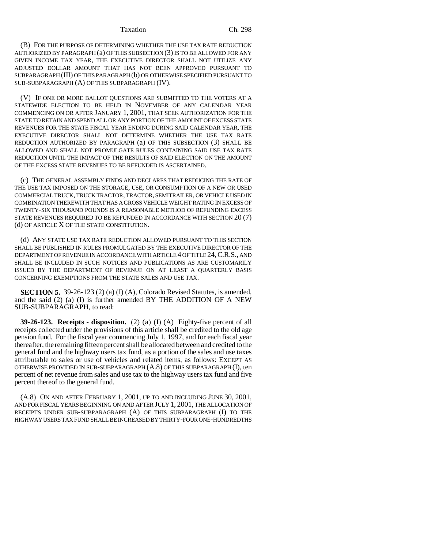### Taxation Ch. 298

(B) FOR THE PURPOSE OF DETERMINING WHETHER THE USE TAX RATE REDUCTION AUTHORIZED BY PARAGRAPH (a) OF THIS SUBSECTION (3) IS TO BE ALLOWED FOR ANY GIVEN INCOME TAX YEAR, THE EXECUTIVE DIRECTOR SHALL NOT UTILIZE ANY ADJUSTED DOLLAR AMOUNT THAT HAS NOT BEEN APPROVED PURSUANT TO SUBPARAGRAPH (III) OF THIS PARAGRAPH (b) OR OTHERWISE SPECIFIED PURSUANT TO SUB-SUBPARAGRAPH (A) OF THIS SUBPARAGRAPH (IV).

(V) IF ONE OR MORE BALLOT QUESTIONS ARE SUBMITTED TO THE VOTERS AT A STATEWIDE ELECTION TO BE HELD IN NOVEMBER OF ANY CALENDAR YEAR COMMENCING ON OR AFTER JANUARY 1, 2001, THAT SEEK AUTHORIZATION FOR THE STATE TO RETAIN AND SPEND ALL OR ANY PORTION OF THE AMOUNT OF EXCESS STATE REVENUES FOR THE STATE FISCAL YEAR ENDING DURING SAID CALENDAR YEAR, THE EXECUTIVE DIRECTOR SHALL NOT DETERMINE WHETHER THE USE TAX RATE REDUCTION AUTHORIZED BY PARAGRAPH (a) OF THIS SUBSECTION (3) SHALL BE ALLOWED AND SHALL NOT PROMULGATE RULES CONTAINING SAID USE TAX RATE REDUCTION UNTIL THE IMPACT OF THE RESULTS OF SAID ELECTION ON THE AMOUNT OF THE EXCESS STATE REVENUES TO BE REFUNDED IS ASCERTAINED.

(c) THE GENERAL ASSEMBLY FINDS AND DECLARES THAT REDUCING THE RATE OF THE USE TAX IMPOSED ON THE STORAGE, USE, OR CONSUMPTION OF A NEW OR USED COMMERCIAL TRUCK, TRUCK TRACTOR, TRACTOR, SEMITRAILER, OR VEHICLE USED IN COMBINATION THEREWITH THAT HAS A GROSS VEHICLE WEIGHT RATING IN EXCESS OF TWENTY-SIX THOUSAND POUNDS IS A REASONABLE METHOD OF REFUNDING EXCESS STATE REVENUES REQUIRED TO BE REFUNDED IN ACCORDANCE WITH SECTION 20 (7) (d) OF ARTICLE X OF THE STATE CONSTITUTION.

(d) ANY STATE USE TAX RATE REDUCTION ALLOWED PURSUANT TO THIS SECTION SHALL BE PUBLISHED IN RULES PROMULGATED BY THE EXECUTIVE DIRECTOR OF THE DEPARTMENT OF REVENUE IN ACCORDANCE WITH ARTICLE 4 OF TITLE 24,C.R.S., AND SHALL BE INCLUDED IN SUCH NOTICES AND PUBLICATIONS AS ARE CUSTOMARILY ISSUED BY THE DEPARTMENT OF REVENUE ON AT LEAST A QUARTERLY BASIS CONCERNING EXEMPTIONS FROM THE STATE SALES AND USE TAX.

**SECTION 5.** 39-26-123 (2) (a) (I) (A), Colorado Revised Statutes, is amended, and the said  $(2)$  (a) (I) is further amended BY THE ADDITION OF A NEW SUB-SUBPARAGRAPH, to read:

**39-26-123. Receipts - disposition.** (2) (a) (I) (A) Eighty-five percent of all receipts collected under the provisions of this article shall be credited to the old age pension fund. For the fiscal year commencing July 1, 1997, and for each fiscal year thereafter, the remaining fifteen percent shall be allocated between and credited to the general fund and the highway users tax fund, as a portion of the sales and use taxes attributable to sales or use of vehicles and related items, as follows: EXCEPT AS OTHERWISE PROVIDED IN SUB-SUBPARAGRAPH (A.8) OF THIS SUBPARAGRAPH (I), ten percent of net revenue from sales and use tax to the highway users tax fund and five percent thereof to the general fund.

(A.8) ON AND AFTER FEBRUARY 1, 2001, UP TO AND INCLUDING JUNE 30, 2001, AND FOR FISCAL YEARS BEGINNING ON AND AFTER JULY 1, 2001, THE ALLOCATION OF RECEIPTS UNDER SUB-SUBPARAGRAPH (A) OF THIS SUBPARAGRAPH (I) TO THE HIGHWAY USERS TAX FUND SHALL BE INCREASED BY THIRTY-FOUR ONE-HUNDREDTHS